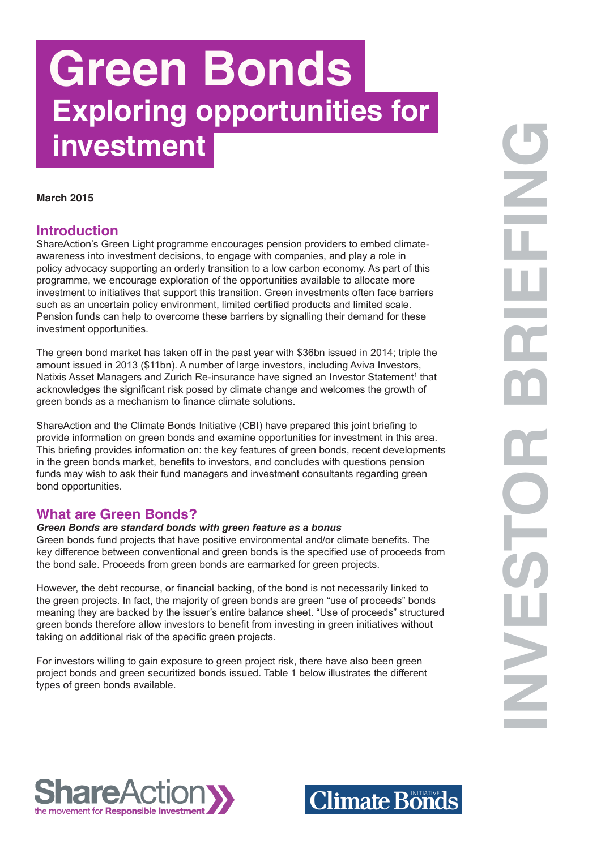# **Green Bonds Exploring opportunities for investment**

#### **March 2015**

## **Introduction**

ShareAction's Green Light programme encourages pension providers to embed climateawareness into investment decisions, to engage with companies, and play a role in policy advocacy supporting an orderly transition to a low carbon economy. As part of this programme, we encourage exploration of the opportunities available to allocate more investment to initiatives that support this transition. Green investments often face barriers such as an uncertain policy environment, limited certified products and limited scale. Pension funds can help to overcome these barriers by signalling their demand for these investment opportunities.

The green bond market has taken off in the past year with \$36bn issued in 2014; triple the amount issued in 2013 (\$11bn). A number of large investors, including Aviva Investors, Natixis Asset Managers and Zurich Re-insurance have signed an Investor Statement<sup>1</sup> that acknowledges the significant risk posed by climate change and welcomes the growth of green bonds as a mechanism to finance climate solutions.

ShareAction and the Climate Bonds Initiative (CBI) have prepared this joint briefing to provide information on green bonds and examine opportunities for investment in this area. This briefing provides information on: the key features of green bonds, recent developments in the green bonds market, benefits to investors, and concludes with questions pension funds may wish to ask their fund managers and investment consultants regarding green bond opportunities.

## **What are Green Bonds?**

#### *Green Bonds are standard bonds with green feature as a bonus*

Green bonds fund projects that have positive environmental and/or climate benefits. The key difference between conventional and green bonds is the specified use of proceeds from the bond sale. Proceeds from green bonds are earmarked for green projects.

However, the debt recourse, or financial backing, of the bond is not necessarily linked to the green projects. In fact, the majority of green bonds are green "use of proceeds" bonds meaning they are backed by the issuer's entire balance sheet. "Use of proceeds" structured green bonds therefore allow investors to benefit from investing in green initiatives without taking on additional risk of the specific green projects.

For investors willing to gain exposure to green project risk, there have also been green project bonds and green securitized bonds issued. Table 1 below illustrates the different types of green bonds available.



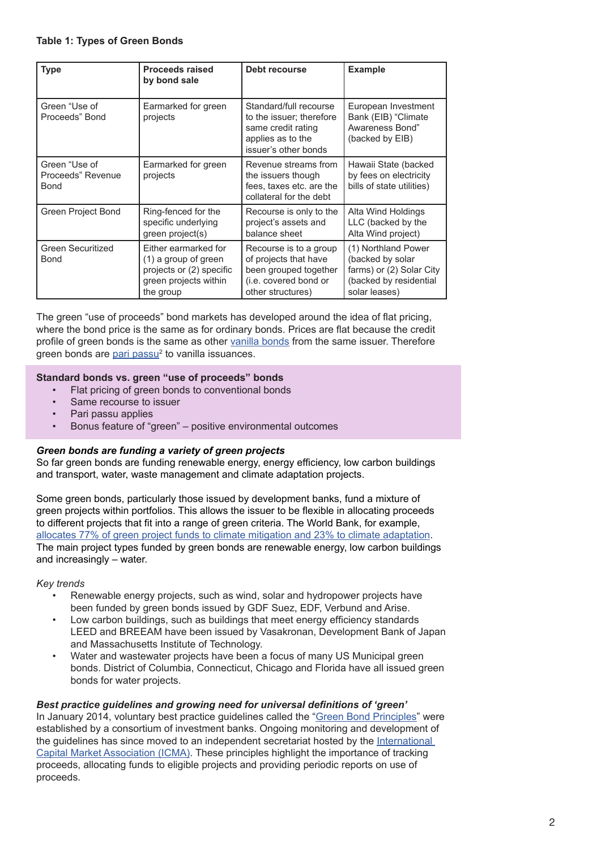#### **Table 1: Types of Green Bonds**

| <b>Type</b>                                       | <b>Proceeds raised</b><br>by bond sale                                                                         | Debt recourse                                                                                                          | <b>Example</b>                                                                                                 |
|---------------------------------------------------|----------------------------------------------------------------------------------------------------------------|------------------------------------------------------------------------------------------------------------------------|----------------------------------------------------------------------------------------------------------------|
| Green "Use of<br>Proceeds" Bond                   | Earmarked for green<br>projects                                                                                | Standard/full recourse<br>to the issuer; therefore<br>same credit rating<br>applies as to the<br>issuer's other bonds  | European Investment<br>Bank (EIB) "Climate<br>Awareness Bond"<br>(backed by EIB)                               |
| Green "Use of<br>Proceeds" Revenue<br><b>Bond</b> | Earmarked for green<br>projects                                                                                | Revenue streams from<br>the issuers though<br>fees, taxes etc. are the<br>collateral for the debt                      | Hawaii State (backed<br>by fees on electricity<br>bills of state utilities)                                    |
| Green Project Bond                                | Ring-fenced for the<br>specific underlying<br>green project(s)                                                 | Recourse is only to the<br>project's assets and<br>balance sheet                                                       | Alta Wind Holdings<br>LLC (backed by the<br>Alta Wind project)                                                 |
| Green Securitized<br><b>Bond</b>                  | Either earmarked for<br>(1) a group of green<br>projects or (2) specific<br>green projects within<br>the group | Recourse is to a group<br>of projects that have<br>been grouped together<br>(i.e. covered bond or<br>other structures) | (1) Northland Power<br>(backed by solar<br>farms) or (2) Solar City<br>(backed by residential<br>solar leases) |

The green "use of proceeds" bond markets has developed around the idea of flat pricing, where the bond price is the same as for ordinary bonds. Prices are flat because the credit profile of green bonds is the same as other vanilla bonds from the same issuer. Therefore green bonds are <u>pari passu</u><sup>2</sup> to vanilla issuances.

#### **Standard bonds vs. green "use of proceeds" bonds**

- Flat pricing of green bonds to conventional bonds
- Same recourse to issuer
- Pari passu applies
- Bonus feature of "green" positive environmental outcomes

#### *Green bonds are funding a variety of green projects*

So far green bonds are funding renewable energy, energy efficiency, low carbon buildings and transport, water, waste management and climate adaptation projects.

Some green bonds, particularly those issued by development banks, fund a mixture of green projects within portfolios. This allows the issuer to be flexible in allocating proceeds to different projects that fit into a range of green criteria. The World Bank, for example, allocates 77% of green project funds to climate mitigation and 23% to climate adaptation. The main project types funded by green bonds are renewable energy, low carbon buildings and increasingly – water.

*Key trends*

- Renewable energy projects, such as wind, solar and hydropower projects have been funded by green bonds issued by GDF Suez, EDF, Verbund and Arise.
- Low carbon buildings, such as buildings that meet energy efficiency standards LEED and BREEAM have been issued by Vasakronan, Development Bank of Japan and Massachusetts Institute of Technology.
- Water and wastewater projects have been a focus of many US Municipal green bonds. District of Columbia, Connecticut, Chicago and Florida have all issued green bonds for water projects.

#### *Best practice guidelines and growing need for universal definitions of 'green'*

In January 2014, voluntary best practice guidelines called the "Green Bond Principles" were established by a consortium of investment banks. Ongoing monitoring and development of the guidelines has since moved to an independent secretariat hosted by the International Capital Market Association (ICMA). These principles highlight the importance of tracking proceeds, allocating funds to eligible projects and providing periodic reports on use of proceeds.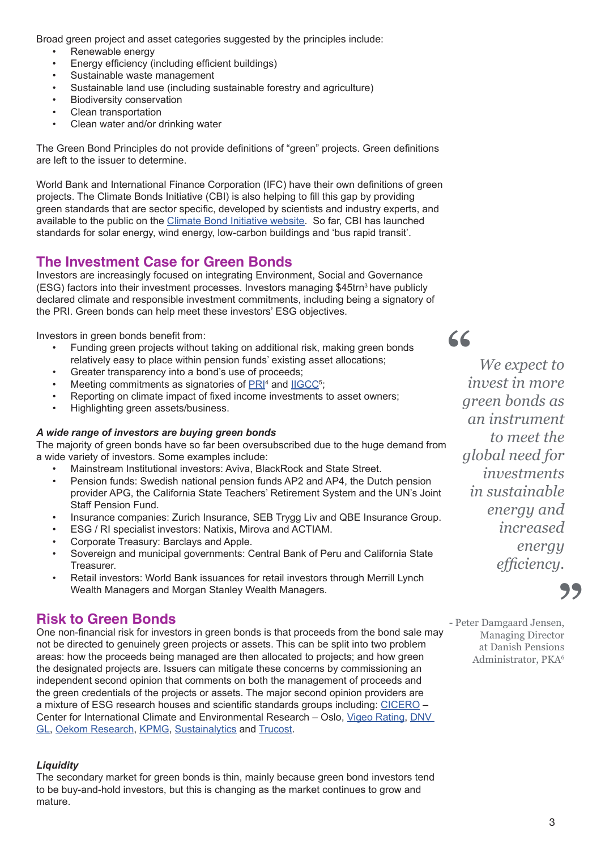Broad green project and asset categories suggested by the principles include:

- Renewable energy
- Energy efficiency (including efficient buildings)
- Sustainable waste management
- Sustainable land use (including sustainable forestry and agriculture)
- Biodiversity conservation
- Clean transportation
- Clean water and/or drinking water

The Green Bond Principles do not provide definitions of "green" projects. Green definitions are left to the issuer to determine.

World Bank and International Finance Corporation (IFC) have their own definitions of green projects. The Climate Bonds Initiative (CBI) is also helping to fill this gap by providing green standards that are sector specific, developed by scientists and industry experts, and available to the public on the Climate Bond Initiative website. So far, CBI has launched standards for solar energy, wind energy, low-carbon buildings and 'bus rapid transit'.

# **The Investment Case for Green Bonds**

Investors are increasingly focused on integrating Environment, Social and Governance (ESG) factors into their investment processes. Investors managing \$45trn3 have publicly declared climate and responsible investment commitments, including being a signatory of the PRI. Green bonds can help meet these investors' ESG objectives.

Investors in green bonds benefit from:

- Funding green projects without taking on additional risk, making green bonds relatively easy to place within pension funds' existing asset allocations;
- Greater transparency into a bond's use of proceeds;
- Meeting commitments as signatories of **PRI<sup>4</sup>** and **IIGCC**<sup>5</sup>;
- Reporting on climate impact of fixed income investments to asset owners;
- Highlighting green assets/business.

## *A wide range of investors are buying green bonds*

The majority of green bonds have so far been oversubscribed due to the huge demand from a wide variety of investors. Some examples include:

- Mainstream Institutional investors: Aviva, BlackRock and State Street.
- Pension funds: Swedish national pension funds AP2 and AP4, the Dutch pension provider APG, the California State Teachers' Retirement System and the UN's Joint Staff Pension Fund.
- Insurance companies: Zurich Insurance, SEB Trygg Liv and QBE Insurance Group.
- ESG / RI specialist investors: Natixis, Mirova and ACTIAM.
- Corporate Treasury: Barclays and Apple.
- Sovereign and municipal governments: Central Bank of Peru and California State Treasurer.
- Retail investors: World Bank issuances for retail investors through Merrill Lynch Wealth Managers and Morgan Stanley Wealth Managers.

# **Risk to Green Bonds**

One non-financial risk for investors in green bonds is that proceeds from the bond sale may not be directed to genuinely green projects or assets. This can be split into two problem areas: how the proceeds being managed are then allocated to projects; and how green the designated projects are. Issuers can mitigate these concerns by commissioning an independent second opinion that comments on both the management of proceeds and the green credentials of the projects or assets. The major second opinion providers are a mixture of ESG research houses and scientific standards groups including: CICERO – Center for International Climate and Environmental Research – Oslo, Vigeo Rating, DNV GL, Oekom Research, KPMG, Sustainalytics and Trucost.

## *Liquidity*

The secondary market for green bonds is thin, mainly because green bond investors tend to be buy-and-hold investors, but this is changing as the market continues to grow and mature.

*We expect to invest in more green bonds as an instrument to meet the global need for investments in sustainable energy and increased energy efficiency.*

**"**

**99**<br><sup>0,</sup>

- Peter Damgaard Jensen, Managing Director at Danish Pensions Administrator, PKA6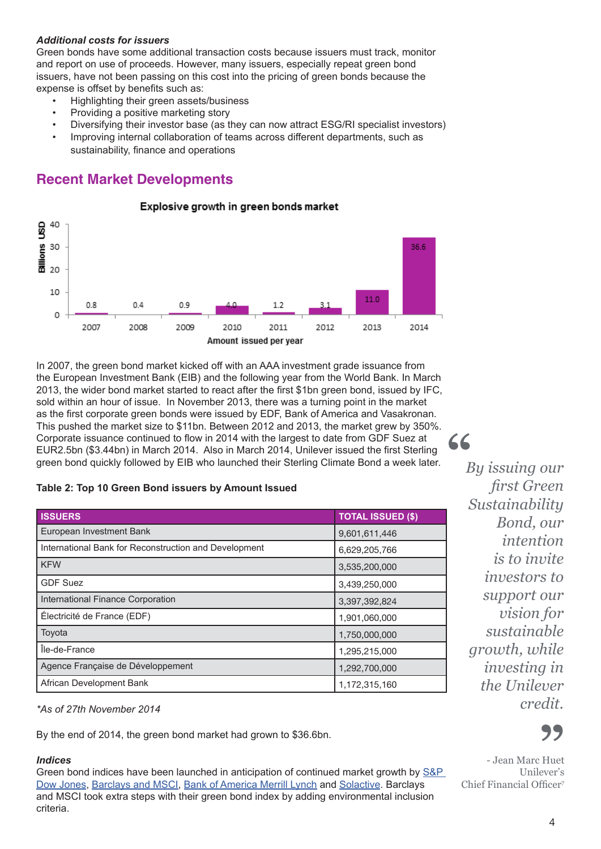## *Additional costs for issuers*

Green bonds have some additional transaction costs because issuers must track, monitor and report on use of proceeds. However, many issuers, especially repeat green bond issuers, have not been passing on this cost into the pricing of green bonds because the expense is offset by benefits such as:

- Highlighting their green assets/business
- Providing a positive marketing story
- Diversifying their investor base (as they can now attract ESG/RI specialist investors)
- Improving internal collaboration of teams across different departments, such as sustainability, finance and operations

Explosive growth in green bonds market

## **Recent Market Developments**



In 2007, the green bond market kicked off with an AAA investment grade issuance from the European Investment Bank (EIB) and the following year from the World Bank. In March 2013, the wider bond market started to react after the first \$1bn green bond, issued by IFC, sold within an hour of issue. In November 2013, there was a turning point in the market as the first corporate green bonds were issued by EDF, Bank of America and Vasakronan. This pushed the market size to \$11bn. Between 2012 and 2013, the market grew by 350%. Corporate issuance continued to flow in 2014 with the largest to date from GDF Suez at EUR2.5bn (\$3.44bn) in March 2014. Also in March 2014, Unilever issued the first Sterling green bond quickly followed by EIB who launched their Sterling Climate Bond a week later.

#### **Table 2: Top 10 Green Bond issuers by Amount Issued**

| <b>ISSUERS</b>                                        | <b>TOTAL ISSUED (\$)</b> |  |  |
|-------------------------------------------------------|--------------------------|--|--|
| European Investment Bank                              | 9,601,611,446            |  |  |
| International Bank for Reconstruction and Development | 6,629,205,766            |  |  |
| <b>KFW</b>                                            | 3,535,200,000            |  |  |
| <b>GDF Suez</b>                                       | 3,439,250,000            |  |  |
| International Finance Corporation                     | 3,397,392,824            |  |  |
| Électricité de France (EDF)                           | 1,901,060,000            |  |  |
| Toyota                                                | 1,750,000,000            |  |  |
| Île-de-France                                         | 1,295,215,000            |  |  |
| Agence Française de Développement                     | 1,292,700,000            |  |  |
| African Development Bank                              | 1,172,315,160            |  |  |

*\*As of 27th November 2014*

By the end of 2014, the green bond market had grown to \$36.6bn.

#### *Indices*

Green bond indices have been launched in anticipation of continued market growth by S&P Dow Jones, Barclays and MSCI, Bank of America Merrill Lynch and Solactive. Barclays and MSCI took extra steps with their green bond index by adding environmental inclusion criteria.

*By issuing our first Green Sustainability Bond, our intention is to invite investors to support our vision for sustainable growth, while investing in the Unilever credit.*

**"**



- Jean Marc Huet **"** Unilever's Chief Financial Officer7

#### 4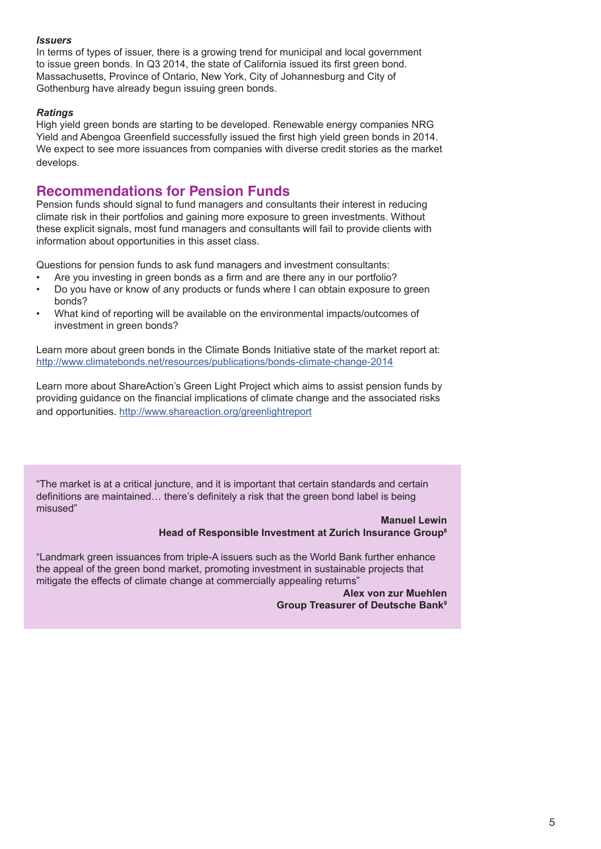#### *Issuers*

In terms of types of issuer, there is a growing trend for municipal and local government to issue green bonds. In Q3 2014, the state of California issued its first green bond. Massachusetts, Province of Ontario, New York, City of Johannesburg and City of Gothenburg have already begun issuing green bonds.

### *Ratings*

High yield green bonds are starting to be developed. Renewable energy companies NRG Yield and Abengoa Greenfield successfully issued the first high yield green bonds in 2014. We expect to see more issuances from companies with diverse credit stories as the market develops.

## **Recommendations for Pension Funds**

Pension funds should signal to fund managers and consultants their interest in reducing climate risk in their portfolios and gaining more exposure to green investments. Without these explicit signals, most fund managers and consultants will fail to provide clients with information about opportunities in this asset class.

Questions for pension funds to ask fund managers and investment consultants:

- Are you investing in green bonds as a firm and are there any in our portfolio?
- Do you have or know of any products or funds where I can obtain exposure to green bonds?
- What kind of reporting will be available on the environmental impacts/outcomes of investment in green bonds?

Learn more about green bonds in the Climate Bonds Initiative state of the market report at: http://www.climatebonds.net/resources/publications/bonds-climate-change-2014

Learn more about ShareAction's Green Light Project which aims to assist pension funds by providing guidance on the financial implications of climate change and the associated risks and opportunities. http://www.shareaction.org/greenlightreport

"The market is at a critical juncture, and it is important that certain standards and certain definitions are maintained… there's definitely a risk that the green bond label is being misused"

#### **Manuel Lewin Head of Responsible Investment at Zurich Insurance Group8**

"Landmark green issuances from triple-A issuers such as the World Bank further enhance the appeal of the green bond market, promoting investment in sustainable projects that mitigate the effects of climate change at commercially appealing returns"

> **Alex von zur Muehlen Group Treasurer of Deutsche Bank9**